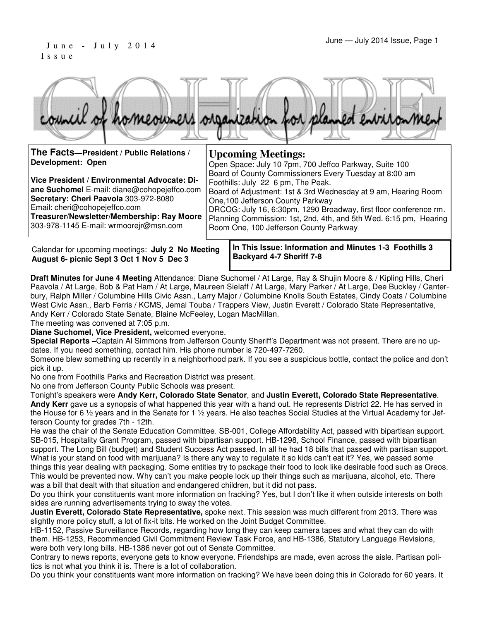#### June - July 2014 1990 1 I s s u e

|                                                               | council of homeowners organization for planned entrionment                                                                                    |
|---------------------------------------------------------------|-----------------------------------------------------------------------------------------------------------------------------------------------|
| The Facts-President / Public Relations /<br>Development: Open | <b>Upcoming Meetings:</b><br>Open Space: July 10 7pm, 700 Jeffco Parkway, Suite 100<br>Board of County Commissioners Every Tuesday at 8:00 am |

**Vice President / Environmental Advocate: Diane Suchomel** E-mail: diane@cohopejeffco.com **Secretary: Cheri Paavola** 303-972-8080 Email: cheri@cohopejeffco.com **Treasurer/Newsletter/Membership: Ray Moore**  Foothills: July 22 6 pm, The Peak. Board of Adjustment: 1st & 3rd Wednesday at 9 am, Hearing Room One,100 Jefferson County Parkway DRCOG: July 16, 6:30pm, 1290 Broadway, first floor conference rm. Planning Commission: 1st, 2nd, 4th, and 5th Wed. 6:15 pm, Hearing

303-978-1145 E-mail: wrmoorejr@msn.com

Calendar for upcoming meetings: **July 2 No Meeting August 6- picnic Sept 3 Oct 1 Nov 5 Dec 3**

**In This Issue: Information and Minutes 1-3 Foothills 3 Backyard 4-7 Sheriff 7-8** 

Room One, 100 Jefferson County Parkway

**Draft Minutes for June 4 Meeting** Attendance: Diane Suchomel / At Large, Ray & Shujin Moore & / Kipling Hills, Cheri Paavola / At Large, Bob & Pat Ham / At Large, Maureen Sielaff / At Large, Mary Parker / At Large, Dee Buckley / Canterbury, Ralph Miller / Columbine Hills Civic Assn., Larry Major / Columbine Knolls South Estates, Cindy Coats / Columbine West Civic Assn., Barb Ferris / KCMS, Jemal Touba / Trappers View, Justin Everett / Colorado State Representative, Andy Kerr / Colorado State Senate, Blaine McFeeley, Logan MacMillan.

The meeting was convened at 7:05 p.m.

**Diane Suchomel, Vice President,** welcomed everyone.

**Special Reports –**Captain Al Simmons from Jefferson County Sheriff's Department was not present. There are no updates. If you need something, contact him. His phone number is 720-497-7260.

Someone blew something up recently in a neighborhood park. If you see a suspicious bottle, contact the police and don't pick it up.

No one from Foothills Parks and Recreation District was present.

No one from Jefferson County Public Schools was present.

Tonight's speakers were **Andy Kerr, Colorado State Senator**, and **Justin Everett, Colorado State Representative**.

**Andy Kerr** gave us a synopsis of what happened this year with a hand out. He represents District 22. He has served in the House for 6 1/2 years and in the Senate for 1 1/2 years. He also teaches Social Studies at the Virtual Academy for Jefferson County for grades 7th - 12th.

He was the chair of the Senate Education Committee. SB-001, College Affordability Act, passed with bipartisan support. SB-015, Hospitality Grant Program, passed with bipartisan support. HB-1298, School Finance, passed with bipartisan support. The Long Bill (budget) and Student Success Act passed. In all he had 18 bills that passed with partisan support. What is your stand on food with marijuana? Is there any way to regulate it so kids can't eat it? Yes, we passed some things this year dealing with packaging. Some entities try to package their food to look like desirable food such as Oreos. This would be prevented now. Why can't you make people lock up their things such as marijuana, alcohol, etc. There was a bill that dealt with that situation and endangered children, but it did not pass.

Do you think your constituents want more information on fracking? Yes, but I don't like it when outside interests on both sides are running advertisements trying to sway the votes.

**Justin Everett, Colorado State Representative,** spoke next. This session was much different from 2013. There was slightly more policy stuff, a lot of fix-it bits. He worked on the Joint Budget Committee.

HB-1152, Passive Surveillance Records, regarding how long they can keep camera tapes and what they can do with them. HB-1253, Recommended Civil Commitment Review Task Force, and HB-1386, Statutory Language Revisions, were both very long bills. HB-1386 never got out of Senate Committee.

Contrary to news reports, everyone gets to know everyone. Friendships are made, even across the aisle. Partisan politics is not what you think it is. There is a lot of collaboration.

Do you think your constituents want more information on fracking? We have been doing this in Colorado for 60 years. It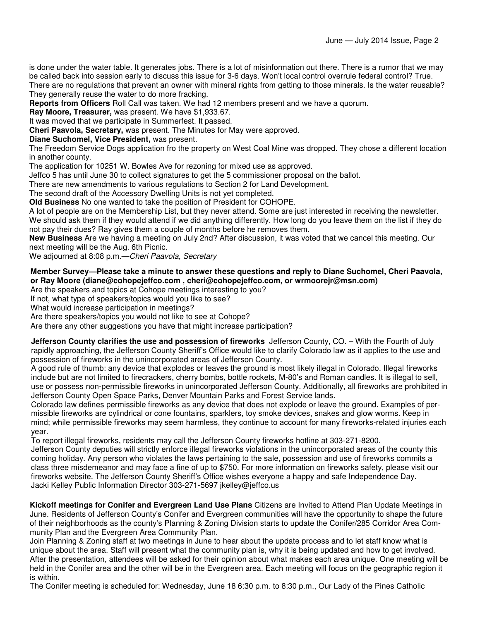is done under the water table. It generates jobs. There is a lot of misinformation out there. There is a rumor that we may be called back into session early to discuss this issue for 3-6 days. Won't local control overrule federal control? True. There are no regulations that prevent an owner with mineral rights from getting to those minerals. Is the water reusable? They generally reuse the water to do more fracking.

**Reports from Officers** Roll Call was taken. We had 12 members present and we have a quorum.

**Ray Moore, Treasurer,** was present. We have \$1,933.67.

It was moved that we participate in Summerfest. It passed.

**Cheri Paavola, Secretary,** was present. The Minutes for May were approved.

**Diane Suchomel, Vice President,** was present.

The Freedom Service Dogs application fro the property on West Coal Mine was dropped. They chose a different location in another county.

The application for 10251 W. Bowles Ave for rezoning for mixed use as approved.

Jeffco 5 has until June 30 to collect signatures to get the 5 commissioner proposal on the ballot.

There are new amendments to various regulations to Section 2 for Land Development.

The second draft of the Accessory Dwelling Units is not yet completed.

**Old Business** No one wanted to take the position of President for COHOPE.

A lot of people are on the Membership List, but they never attend. Some are just interested in receiving the newsletter. We should ask them if they would attend if we did anything differently. How long do you leave them on the list if they do not pay their dues? Ray gives them a couple of months before he removes them.

**New Business** Are we having a meeting on July 2nd? After discussion, it was voted that we cancel this meeting. Our next meeting will be the Aug. 6th Picnic.

We adjourned at 8:08 p.m. - Cheri Paavola, Secretary

#### **Member Survey—Please take a minute to answer these questions and reply to Diane Suchomel, Cheri Paavola, or Ray Moore (diane@cohopejeffco.com , cheri@cohopejeffco.com, or wrmoorejr@msn.com)**

Are the speakers and topics at Cohope meetings interesting to you?

If not, what type of speakers/topics would you like to see?

What would increase participation in meetings?

Are there speakers/topics you would not like to see at Cohope?

Are there any other suggestions you have that might increase participation?

**Jefferson County clarifies the use and possession of fireworks** Jefferson County, CO. – With the Fourth of July rapidly approaching, the Jefferson County Sheriff's Office would like to clarify Colorado law as it applies to the use and possession of fireworks in the unincorporated areas of Jefferson County.

A good rule of thumb: any device that explodes or leaves the ground is most likely illegal in Colorado. Illegal fireworks include but are not limited to firecrackers, cherry bombs, bottle rockets, M-80's and Roman candles. It is illegal to sell, use or possess non-permissible fireworks in unincorporated Jefferson County. Additionally, all fireworks are prohibited in Jefferson County Open Space Parks, Denver Mountain Parks and Forest Service lands.

Colorado law defines permissible fireworks as any device that does not explode or leave the ground. Examples of permissible fireworks are cylindrical or cone fountains, sparklers, toy smoke devices, snakes and glow worms. Keep in mind; while permissible fireworks may seem harmless, they continue to account for many fireworks-related injuries each year.

To report illegal fireworks, residents may call the Jefferson County fireworks hotline at 303-271-8200. Jefferson County deputies will strictly enforce illegal fireworks violations in the unincorporated areas of the county this coming holiday. Any person who violates the laws pertaining to the sale, possession and use of fireworks commits a class three misdemeanor and may face a fine of up to \$750. For more information on fireworks safety, please visit our fireworks website. The Jefferson County Sheriff's Office wishes everyone a happy and safe Independence Day. Jacki Kelley Public Information Director 303-271-5697 jkelley@jeffco.us

**Kickoff meetings for Conifer and Evergreen Land Use Plans** Citizens are Invited to Attend Plan Update Meetings in June. Residents of Jefferson County's Conifer and Evergreen communities will have the opportunity to shape the future of their neighborhoods as the county's Planning & Zoning Division starts to update the Conifer/285 Corridor Area Community Plan and the Evergreen Area Community Plan.

Join Planning & Zoning staff at two meetings in June to hear about the update process and to let staff know what is unique about the area. Staff will present what the community plan is, why it is being updated and how to get involved. After the presentation, attendees will be asked for their opinion about what makes each area unique. One meeting will be held in the Conifer area and the other will be in the Evergreen area. Each meeting will focus on the geographic region it is within.

The Conifer meeting is scheduled for: Wednesday, June 18 6:30 p.m. to 8:30 p.m., Our Lady of the Pines Catholic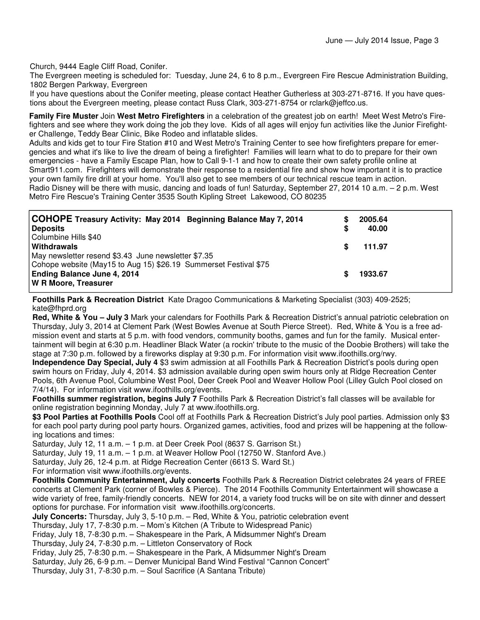Church, 9444 Eagle Cliff Road, Conifer.

The Evergreen meeting is scheduled for: Tuesday, June 24, 6 to 8 p.m., Evergreen Fire Rescue Administration Building, 1802 Bergen Parkway, Evergreen

If you have questions about the Conifer meeting, please contact Heather Gutherless at 303-271-8716. If you have questions about the Evergreen meeting, please contact Russ Clark, 303-271-8754 or rclark@jeffco.us.

**Family Fire Muster** Join **West Metro Firefighters** in a celebration of the greatest job on earth! Meet West Metro's Firefighters and see where they work doing the job they love. Kids of all ages will enjoy fun activities like the Junior Firefighter Challenge, Teddy Bear Clinic, Bike Rodeo and inflatable slides.

Adults and kids get to tour Fire Station #10 and West Metro's Training Center to see how firefighters prepare for emergencies and what it's like to live the dream of being a firefighter! Families will learn what to do to prepare for their own emergencies - have a Family Escape Plan, how to Call 9-1-1 and how to create their own safety profile online at Smart911.com. Firefighters will demonstrate their response to a residential fire and show how important it is to practice your own family fire drill at your home. You'll also get to see members of our technical rescue team in action. Radio Disney will be there with music, dancing and loads of fun! Saturday, September 27, 2014 10 a.m. – 2 p.m. West Metro Fire Rescue's Training Center 3535 South Kipling Street Lakewood, CO 80235

| COHOPE Treasury Activity: May 2014 Beginning Balance May 7, 2014<br><b>Deposits</b>                                                                                            | S | 2005.64<br>40.00 |
|--------------------------------------------------------------------------------------------------------------------------------------------------------------------------------|---|------------------|
| Columbine Hills \$40<br>Withdrawals                                                                                                                                            |   | 111.97           |
| May newsletter resend \$3.43 June newsletter \$7.35<br>Cohope website (May15 to Aug 15) \$26.19 Summerset Festival \$75<br>Ending Balance June 4, 2014<br>W R Moore, Treasurer |   | 1933.67          |

**Foothills Park & Recreation District** Kate Dragoo Communications & Marketing Specialist (303) 409-2525; kate@fhprd.org

**Red, White & You – July 3** Mark your calendars for Foothills Park & Recreation District's annual patriotic celebration on Thursday, July 3, 2014 at Clement Park (West Bowles Avenue at South Pierce Street). Red, White & You is a free admission event and starts at 5 p.m. with food vendors, community booths, games and fun for the family. Musical entertainment will begin at 6:30 p.m. Headliner Black Water (a rockin' tribute to the music of the Doobie Brothers) will take the stage at 7:30 p.m. followed by a fireworks display at 9:30 p.m. For information visit www.ifoothills.org/rwy.

**Independence Day Special, July 4** \$3 swim admission at all Foothills Park & Recreation District's pools during open swim hours on Friday, July 4, 2014. \$3 admission available during open swim hours only at Ridge Recreation Center Pools, 6th Avenue Pool, Columbine West Pool, Deer Creek Pool and Weaver Hollow Pool (Lilley Gulch Pool closed on 7/4/14). For information visit www.ifoothills.org/events.

**Foothills summer registration, begins July 7** Foothills Park & Recreation District's fall classes will be available for online registration beginning Monday, July 7 at www.ifoothills.org.

**\$3 Pool Parties at Foothills Pools** Cool off at Foothills Park & Recreation District's July pool parties. Admission only \$3 for each pool party during pool party hours. Organized games, activities, food and prizes will be happening at the following locations and times:

Saturday, July 12, 11 a.m. – 1 p.m. at Deer Creek Pool (8637 S. Garrison St.)

Saturday, July 19, 11 a.m. – 1 p.m. at Weaver Hollow Pool (12750 W. Stanford Ave.)

Saturday, July 26, 12-4 p.m. at Ridge Recreation Center (6613 S. Ward St.)

For information visit www.ifoothills.org/events.

**Foothills Community Entertainment, July concerts** Foothills Park & Recreation District celebrates 24 years of FREE concerts at Clement Park (corner of Bowles & Pierce). The 2014 Foothills Community Entertainment will showcase a wide variety of free, family-friendly concerts. NEW for 2014, a variety food trucks will be on site with dinner and dessert options for purchase. For information visit www.ifoothills.org/concerts.

**July Concerts:** Thursday, July 3, 5-10 p.m. – Red, White & You, patriotic celebration event

Thursday, July 17, 7-8:30 p.m. – Mom's Kitchen (A Tribute to Widespread Panic)

Friday, July 18, 7-8:30 p.m. – Shakespeare in the Park, A Midsummer Night's Dream

Thursday, July 24, 7-8:30 p.m. – Littleton Conservatory of Rock

Friday, July 25, 7-8:30 p.m. – Shakespeare in the Park, A Midsummer Night's Dream

Saturday, July 26, 6-9 p.m. – Denver Municipal Band Wind Festival "Cannon Concert"

Thursday, July 31, 7-8:30 p.m. – Soul Sacrifice (A Santana Tribute)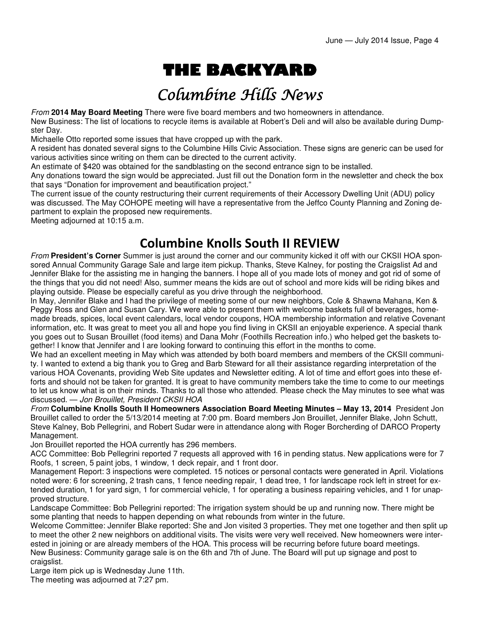# THE BACKYARD

## Columbine Hills News

From **2014 May Board Meeting** There were five board members and two homeowners in attendance. New Business: The list of locations to recycle items is available at Robert's Deli and will also be available during Dumpster Day.

Michaelle Otto reported some issues that have cropped up with the park.

A resident has donated several signs to the Columbine Hills Civic Association. These signs are generic can be used for various activities since writing on them can be directed to the current activity.

An estimate of \$420 was obtained for the sandblasting on the second entrance sign to be installed.

Any donations toward the sign would be appreciated. Just fill out the Donation form in the newsletter and check the box that says "Donation for improvement and beautification project."

The current issue of the county restructuring their current requirements of their Accessory Dwelling Unit (ADU) policy was discussed. The May COHOPE meeting will have a representative from the Jeffco County Planning and Zoning department to explain the proposed new requirements.

Meeting adjourned at 10:15 a.m.

#### Columbine Knolls South II REVIEW

From **President's Corner** Summer is just around the corner and our community kicked it off with our CKSII HOA sponsored Annual Community Garage Sale and large item pickup. Thanks, Steve Kalney, for posting the Craigslist Ad and Jennifer Blake for the assisting me in hanging the banners. I hope all of you made lots of money and got rid of some of the things that you did not need! Also, summer means the kids are out of school and more kids will be riding bikes and playing outside. Please be especially careful as you drive through the neighborhood.

In May, Jennifer Blake and I had the privilege of meeting some of our new neighbors, Cole & Shawna Mahana, Ken & Peggy Ross and Glen and Susan Cary. We were able to present them with welcome baskets full of beverages, homemade breads, spices, local event calendars, local vendor coupons, HOA membership information and relative Covenant information, etc. It was great to meet you all and hope you find living in CKSII an enjoyable experience. A special thank you goes out to Susan Brouillet (food items) and Dana Mohr (Foothills Recreation info.) who helped get the baskets together! I know that Jennifer and I are looking forward to continuing this effort in the months to come.

We had an excellent meeting in May which was attended by both board members and members of the CKSII community. I wanted to extend a big thank you to Greg and Barb Steward for all their assistance regarding interpretation of the various HOA Covenants, providing Web Site updates and Newsletter editing. A lot of time and effort goes into these efforts and should not be taken for granted. It is great to have community members take the time to come to our meetings to let us know what is on their minds. Thanks to all those who attended. Please check the May minutes to see what was discussed. — Jon Brouillet, President CKSII HOA

From **Columbine Knolls South II Homeowners Association Board Meeting Minutes – May 13, 2014** President Jon Brouillet called to order the 5/13/2014 meeting at 7:00 pm. Board members Jon Brouillet, Jennifer Blake, John Schutt, Steve Kalney, Bob Pellegrini, and Robert Sudar were in attendance along with Roger Borcherding of DARCO Property Management.

Jon Brouillet reported the HOA currently has 296 members.

ACC Committee: Bob Pellegrini reported 7 requests all approved with 16 in pending status. New applications were for 7 Roofs, 1 screen, 5 paint jobs, 1 window, 1 deck repair, and 1 front door.

Management Report: 3 inspections were completed. 15 notices or personal contacts were generated in April. Violations noted were: 6 for screening, 2 trash cans, 1 fence needing repair, 1 dead tree, 1 for landscape rock left in street for extended duration, 1 for yard sign, 1 for commercial vehicle, 1 for operating a business repairing vehicles, and 1 for unapproved structure.

Landscape Committee: Bob Pellegrini reported: The irrigation system should be up and running now. There might be some planting that needs to happen depending on what rebounds from winter in the future.

Welcome Committee: Jennifer Blake reported: She and Jon visited 3 properties. They met one together and then split up to meet the other 2 new neighbors on additional visits. The visits were very well received. New homeowners were interested in joining or are already members of the HOA. This process will be recurring before future board meetings. New Business: Community garage sale is on the 6th and 7th of June. The Board will put up signage and post to craigslist.

Large item pick up is Wednesday June 11th.

The meeting was adjourned at 7:27 pm.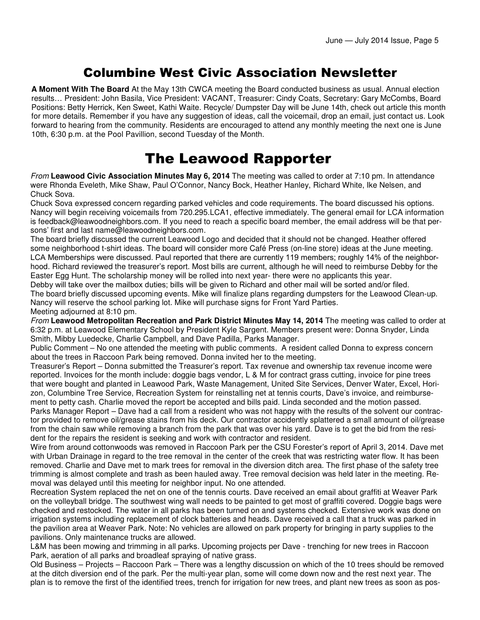#### Columbine West Civic Association Newsletter

**A Moment With The Board** At the May 13th CWCA meeting the Board conducted business as usual. Annual election results… President: John Basila, Vice President: VACANT, Treasurer: Cindy Coats, Secretary: Gary McCombs, Board Positions: Betty Herrick, Ken Sweet, Kathi Waite. Recycle/ Dumpster Day will be June 14th, check out article this month for more details. Remember if you have any suggestion of ideas, call the voicemail, drop an email, just contact us. Look forward to hearing from the community. Residents are encouraged to attend any monthly meeting the next one is June 10th, 6:30 p.m. at the Pool Pavillion, second Tuesday of the Month.

## The Leawood Rapporter

From **Leawood Civic Association Minutes May 6, 2014** The meeting was called to order at 7:10 pm. In attendance were Rhonda Eveleth, Mike Shaw, Paul O'Connor, Nancy Bock, Heather Hanley, Richard White, Ike Nelsen, and Chuck Sova.

Chuck Sova expressed concern regarding parked vehicles and code requirements. The board discussed his options. Nancy will begin receiving voicemails from 720.295.LCA1, effective immediately. The general email for LCA information is feedback@leawoodneighbors.com. If you need to reach a specific board member, the email address will be that persons' first and last name@leawoodneighbors.com.

The board briefly discussed the current Leawood Logo and decided that it should not be changed. Heather offered some neighborhood t-shirt ideas. The board will consider more Café Press (on-line store) ideas at the June meeting. LCA Memberships were discussed. Paul reported that there are currently 119 members; roughly 14% of the neighborhood. Richard reviewed the treasurer's report. Most bills are current, although he will need to reimburse Debby for the Easter Egg Hunt. The scholarship money will be rolled into next year- there were no applicants this year.

Debby will take over the mailbox duties; bills will be given to Richard and other mail will be sorted and/or filed. The board briefly discussed upcoming events. Mike will finalize plans regarding dumpsters for the Leawood Clean-up. Nancy will reserve the school parking lot. Mike will purchase signs for Front Yard Parties. Meeting adjourned at 8:10 pm.

From **Leawood Metropolitan Recreation and Park District Minutes May 14, 2014** The meeting was called to order at 6:32 p.m. at Leawood Elementary School by President Kyle Sargent. Members present were: Donna Snyder, Linda Smith, Mibby Luedecke, Charlie Campbell, and Dave Padilla, Parks Manager.

Public Comment – No one attended the meeting with public comments. A resident called Donna to express concern about the trees in Raccoon Park being removed. Donna invited her to the meeting.

Treasurer's Report – Donna submitted the Treasurer's report. Tax revenue and ownership tax revenue income were reported. Invoices for the month include: doggie bags vendor, L & M for contract grass cutting, invoice for pine trees that were bought and planted in Leawood Park, Waste Management, United Site Services, Denver Water, Excel, Horizon, Columbine Tree Service, Recreation System for reinstalling net at tennis courts, Dave's invoice, and reimbursement to petty cash. Charlie moved the report be accepted and bills paid. Linda seconded and the motion passed. Parks Manager Report – Dave had a call from a resident who was not happy with the results of the solvent our contractor provided to remove oil/grease stains from his deck. Our contractor accidently splattered a small amount of oil/grease from the chain saw while removing a branch from the park that was over his yard. Dave is to get the bid from the resident for the repairs the resident is seeking and work with contractor and resident.

Wire from around cottonwoods was removed in Raccoon Park per the CSU Forester's report of April 3, 2014. Dave met with Urban Drainage in regard to the tree removal in the center of the creek that was restricting water flow. It has been removed. Charlie and Dave met to mark trees for removal in the diversion ditch area. The first phase of the safety tree trimming is almost complete and trash as been hauled away. Tree removal decision was held later in the meeting. Removal was delayed until this meeting for neighbor input. No one attended.

Recreation System replaced the net on one of the tennis courts. Dave received an email about graffiti at Weaver Park on the volleyball bridge. The southwest wing wall needs to be painted to get most of graffiti covered. Doggie bags were checked and restocked. The water in all parks has been turned on and systems checked. Extensive work was done on irrigation systems including replacement of clock batteries and heads. Dave received a call that a truck was parked in the pavilion area at Weaver Park. Note: No vehicles are allowed on park property for bringing in party supplies to the pavilions. Only maintenance trucks are allowed.

L&M has been mowing and trimming in all parks. Upcoming projects per Dave - trenching for new trees in Raccoon Park, aeration of all parks and broadleaf spraying of native grass.

Old Business – Projects – Raccoon Park – There was a lengthy discussion on which of the 10 trees should be removed at the ditch diversion end of the park. Per the multi-year plan, some will come down now and the rest next year. The plan is to remove the first of the identified trees, trench for irrigation for new trees, and plant new trees as soon as pos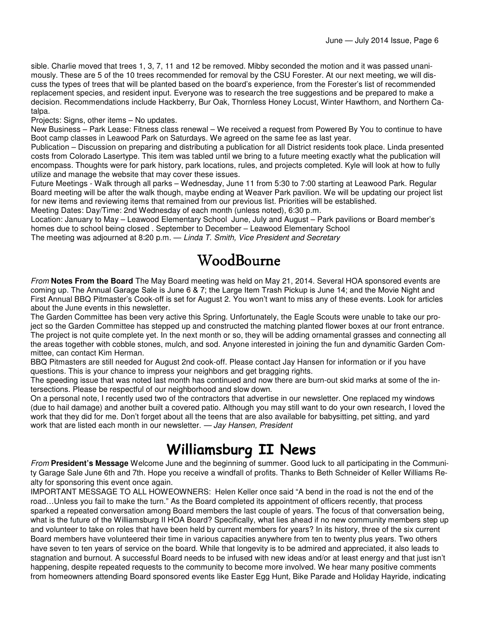sible. Charlie moved that trees 1, 3, 7, 11 and 12 be removed. Mibby seconded the motion and it was passed unanimously. These are 5 of the 10 trees recommended for removal by the CSU Forester. At our next meeting, we will discuss the types of trees that will be planted based on the board's experience, from the Forester's list of recommended replacement species, and resident input. Everyone was to research the tree suggestions and be prepared to make a decision. Recommendations include Hackberry, Bur Oak, Thornless Honey Locust, Winter Hawthorn, and Northern Catalpa.

Projects: Signs, other items – No updates.

New Business – Park Lease: Fitness class renewal – We received a request from Powered By You to continue to have Boot camp classes in Leawood Park on Saturdays. We agreed on the same fee as last year.

Publication – Discussion on preparing and distributing a publication for all District residents took place. Linda presented costs from Colorado Lasertype. This item was tabled until we bring to a future meeting exactly what the publication will encompass. Thoughts were for park history, park locations, rules, and projects completed. Kyle will look at how to fully utilize and manage the website that may cover these issues.

Future Meetings - Walk through all parks – Wednesday, June 11 from 5:30 to 7:00 starting at Leawood Park. Regular Board meeting will be after the walk though, maybe ending at Weaver Park pavilion. We will be updating our project list for new items and reviewing items that remained from our previous list. Priorities will be established.

Meeting Dates: Day/Time: 2nd Wednesday of each month (unless noted), 6:30 p.m.

Location: January to May – Leawood Elementary School June, July and August – Park pavilions or Board member's homes due to school being closed . September to December – Leawood Elementary School

The meeting was adjourned at 8:20 p.m. — Linda T. Smith, Vice President and Secretary

### WoodBourne WoodBourne

From **Notes From the Board** The May Board meeting was held on May 21, 2014. Several HOA sponsored events are coming up. The Annual Garage Sale is June 6 & 7; the Large Item Trash Pickup is June 14; and the Movie Night and First Annual BBQ Pitmaster's Cook-off is set for August 2. You won't want to miss any of these events. Look for articles about the June events in this newsletter.

The Garden Committee has been very active this Spring. Unfortunately, the Eagle Scouts were unable to take our project so the Garden Committee has stepped up and constructed the matching planted flower boxes at our front entrance. The project is not quite complete yet. In the next month or so, they will be adding ornamental grasses and connecting all the areas together with cobble stones, mulch, and sod. Anyone interested in joining the fun and dynamitic Garden Committee, can contact Kim Herman.

BBQ Pitmasters are still needed for August 2nd cook-off. Please contact Jay Hansen for information or if you have questions. This is your chance to impress your neighbors and get bragging rights.

The speeding issue that was noted last month has continued and now there are burn-out skid marks at some of the intersections. Please be respectful of our neighborhood and slow down.

On a personal note, I recently used two of the contractors that advertise in our newsletter. One replaced my windows (due to hail damage) and another built a covered patio. Although you may still want to do your own research, I loved the work that they did for me. Don't forget about all the teens that are also available for babysitting, pet sitting, and yard work that are listed each month in our newsletter. - Jay Hansen, President

## Williamsburg II News

From **President's Message** Welcome June and the beginning of summer. Good luck to all participating in the Community Garage Sale June 6th and 7th. Hope you receive a windfall of profits. Thanks to Beth Schneider of Keller Williams Realty for sponsoring this event once again.

IMPORTANT MESSAGE TO ALL HOWEOWNERS: Helen Keller once said "A bend in the road is not the end of the road…Unless you fail to make the turn." As the Board completed its appointment of officers recently, that process sparked a repeated conversation among Board members the last couple of years. The focus of that conversation being, what is the future of the Williamsburg II HOA Board? Specifically, what lies ahead if no new community members step up and volunteer to take on roles that have been held by current members for years? In its history, three of the six current Board members have volunteered their time in various capacities anywhere from ten to twenty plus years. Two others have seven to ten years of service on the board. While that longevity is to be admired and appreciated, it also leads to stagnation and burnout. A successful Board needs to be infused with new ideas and/or at least energy and that just isn't happening, despite repeated requests to the community to become more involved. We hear many positive comments from homeowners attending Board sponsored events like Easter Egg Hunt, Bike Parade and Holiday Hayride, indicating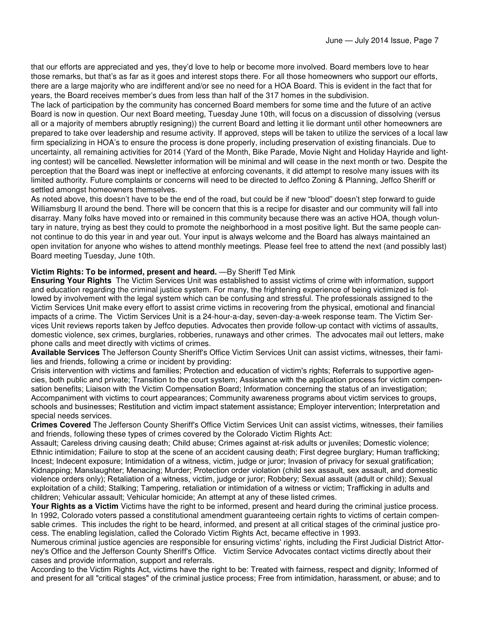that our efforts are appreciated and yes, they'd love to help or become more involved. Board members love to hear those remarks, but that's as far as it goes and interest stops there. For all those homeowners who support our efforts, there are a large majority who are indifferent and/or see no need for a HOA Board. This is evident in the fact that for years, the Board receives member's dues from less than half of the 317 homes in the subdivision.

The lack of participation by the community has concerned Board members for some time and the future of an active Board is now in question. Our next Board meeting, Tuesday June 10th, will focus on a discussion of dissolving (versus all or a majority of members abruptly resigning)) the current Board and letting it lie dormant until other homeowners are prepared to take over leadership and resume activity. If approved, steps will be taken to utilize the services of a local law firm specializing in HOA's to ensure the process is done properly, including preservation of existing financials. Due to uncertainty, all remaining activities for 2014 (Yard of the Month, Bike Parade, Movie Night and Holiday Hayride and lighting contest) will be cancelled. Newsletter information will be minimal and will cease in the next month or two. Despite the perception that the Board was inept or ineffective at enforcing covenants, it did attempt to resolve many issues with its limited authority. Future complaints or concerns will need to be directed to Jeffco Zoning & Planning, Jeffco Sheriff or settled amongst homeowners themselves.

As noted above, this doesn't have to be the end of the road, but could be if new "blood" doesn't step forward to guide Williamsburg II around the bend. There will be concern that this is a recipe for disaster and our community will fall into disarray. Many folks have moved into or remained in this community because there was an active HOA, though voluntary in nature, trying as best they could to promote the neighborhood in a most positive light. But the same people cannot continue to do this year in and year out. Your input is always welcome and the Board has always maintained an open invitation for anyone who wishes to attend monthly meetings. Please feel free to attend the next (and possibly last) Board meeting Tuesday, June 10th.

#### **Victim Rights: To be informed, present and heard.** —By Sheriff Ted Mink

**Ensuring Your Rights** The Victim Services Unit was established to assist victims of crime with information, support and education regarding the criminal justice system. For many, the frightening experience of being victimized is followed by involvement with the legal system which can be confusing and stressful. The professionals assigned to the Victim Services Unit make every effort to assist crime victims in recovering from the physical, emotional and financial impacts of a crime. The Victim Services Unit is a 24-hour-a-day, seven-day-a-week response team. The Victim Services Unit reviews reports taken by Jeffco deputies. Advocates then provide follow-up contact with victims of assaults, domestic violence, sex crimes, burglaries, robberies, runaways and other crimes. The advocates mail out letters, make phone calls and meet directly with victims of crimes.

**Available Services** The Jefferson County Sheriff's Office Victim Services Unit can assist victims, witnesses, their families and friends, following a crime or incident by providing:

Crisis intervention with victims and families; Protection and education of victim's rights; Referrals to supportive agencies, both public and private; Transition to the court system; Assistance with the application process for victim compensation benefits; Liaison with the Victim Compensation Board; Information concerning the status of an investigation; Accompaniment with victims to court appearances; Community awareness programs about victim services to groups, schools and businesses; Restitution and victim impact statement assistance; Employer intervention; Interpretation and special needs services.

**Crimes Covered** The Jefferson County Sheriff's Office Victim Services Unit can assist victims, witnesses, their families and friends, following these types of crimes covered by the Colorado Victim Rights Act:

Assault; Careless driving causing death; Child abuse; Crimes against at-risk adults or juveniles; Domestic violence; Ethnic intimidation; Failure to stop at the scene of an accident causing death; First degree burglary; Human trafficking; Incest; Indecent exposure; Intimidation of a witness, victim, judge or juror; Invasion of privacy for sexual gratification; Kidnapping; Manslaughter; Menacing; Murder; Protection order violation (child sex assault, sex assault, and domestic violence orders only); Retaliation of a witness, victim, judge or juror; Robbery; Sexual assault (adult or child); Sexual exploitation of a child; Stalking; Tampering, retaliation or intimidation of a witness or victim; Trafficking in adults and children; Vehicular assault; Vehicular homicide; An attempt at any of these listed crimes.

**Your Rights as a Victim** Victims have the right to be informed, present and heard during the criminal justice process. In 1992, Colorado voters passed a constitutional amendment guaranteeing certain rights to victims of certain compensable crimes. This includes the right to be heard, informed, and present at all critical stages of the criminal justice process. The enabling legislation, called the Colorado Victim Rights Act, became effective in 1993.

Numerous criminal justice agencies are responsible for ensuring victims' rights, including the First Judicial District Attorney's Office and the Jefferson County Sheriff's Office. Victim Service Advocates contact victims directly about their cases and provide information, support and referrals.

According to the Victim Rights Act, victims have the right to be: Treated with fairness, respect and dignity; Informed of and present for all "critical stages" of the criminal justice process; Free from intimidation, harassment, or abuse; and to